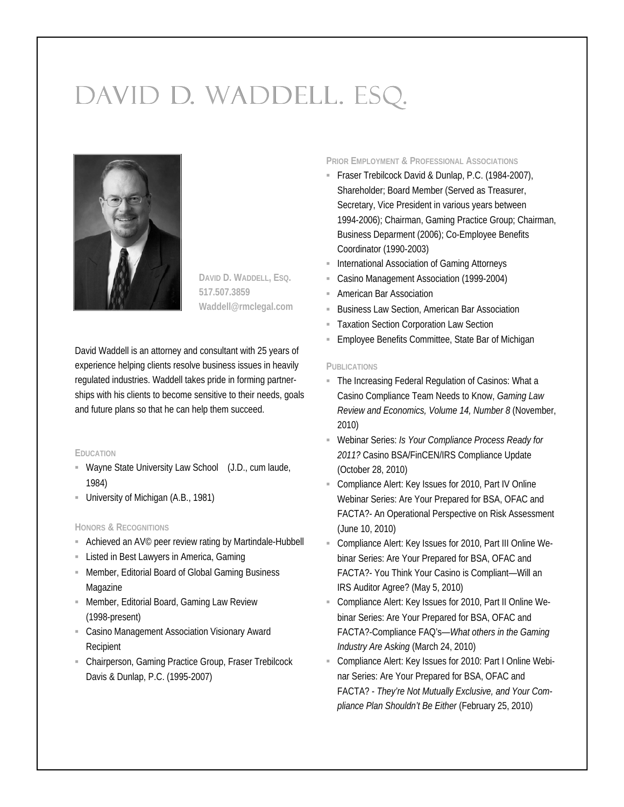# DAVID D. WADDELL. ESQ.



**DAVID D. WADDELL, ESQ. 517.507.3859 Waddell@rmclegal.com**

David Waddell is an attorney and consultant with 25 years of experience helping clients resolve business issues in heavily regulated industries. Waddell takes pride in forming partnerships with his clients to become sensitive to their needs, goals and future plans so that he can help them succeed.

#### **EDUCATION**

- Wayne State University Law School (J.D., cum laude, 1984)
- University of Michigan (A.B., 1981)

## **HONORS & RECOGNITIONS**

- Achieved an AV<sup>©</sup> peer review rating by Martindale-Hubbell
- **Example 1** Listed in Best Lawyers in America, Gaming
- Member, Editorial Board of Global Gaming Business Magazine
- **E** Member, Editorial Board, Gaming Law Review (1998-present)
- **E** Casino Management Association Visionary Award Recipient
- Chairperson, Gaming Practice Group, Fraser Trebilcock Davis & Dunlap, P.C. (1995-2007)

**PRIOR EMPLOYMENT & PROFESSIONAL ASSOCIATIONS**

- Fraser Trebilcock David & Dunlap, P.C. (1984-2007), Shareholder; Board Member (Served as Treasurer, Secretary, Vice President in various years between 1994-2006); Chairman, Gaming Practice Group; Chairman, Business Deparment (2006); Co-Employee Benefits Coordinator (1990-2003)
- **E** International Association of Gaming Attorneys
- Casino Management Association (1999-2004)
- **E** American Bar Association
- **Business Law Section, American Bar Association**
- **Taxation Section Corporation Law Section**
- **Employee Benefits Committee, State Bar of Michigan**

#### **PUBLICATIONS**

- The Increasing Federal Regulation of Casinos: What a Casino Compliance Team Needs to Know, *Gaming Law Review and Economics, Volume 14, Number 8* (November, 2010)
- Webinar Series: *Is Your Compliance Process Ready for 2011?* Casino BSA/FinCEN/IRS Compliance Update (October 28, 2010)
- Compliance Alert: Key Issues for 2010, Part IV Online Webinar Series: Are Your Prepared for BSA, OFAC and FACTA?- An Operational Perspective on Risk Assessment (June 10, 2010)
- Compliance Alert: Key Issues for 2010, Part III Online Webinar Series: Are Your Prepared for BSA, OFAC and FACTA?- You Think Your Casino is Compliant—Will an IRS Auditor Agree? (May 5, 2010)
- Compliance Alert: Key Issues for 2010, Part II Online Webinar Series: Are Your Prepared for BSA, OFAC and FACTA?-Compliance FAQ's—*What others in the Gaming Industry Are Asking* (March 24, 2010)
- Compliance Alert: Key Issues for 2010: Part I Online Webinar Series: Are Your Prepared for BSA, OFAC and FACTA? - *They're Not Mutually Exclusive, and Your Compliance Plan Shouldn't Be Either* (February 25, 2010)